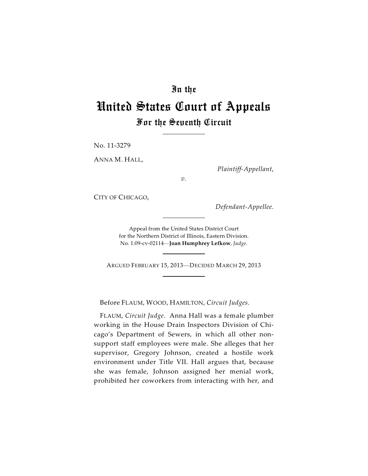## In the

# United States Court of Appeals For the Seventh Circuit

No. 11-3279

ANNA M. HALL,

*Plaintiff-Appellant*,

*v.*

CITY OF CHICAGO,

*Defendant-Appellee.*

Appeal from the United States District Court for the Northern District of Illinois, Eastern Division. No. 1:09-cv-02114—**Joan Humphrey Lefkow**, *Judge*.

ARGUED FEBRUARY 15, 2013—DECIDED MARCH 29, 2013

Before FLAUM, WOOD, HAMILTON, *Circuit Judges*.

FLAUM, *Circuit Judge*. Anna Hall was a female plumber working in the House Drain Inspectors Division of Chicago's Department of Sewers, in which all other nonsupport staff employees were male. She alleges that her supervisor, Gregory Johnson, created a hostile work environment under Title VII. Hall argues that, because she was female, Johnson assigned her menial work, prohibited her coworkers from interacting with her, and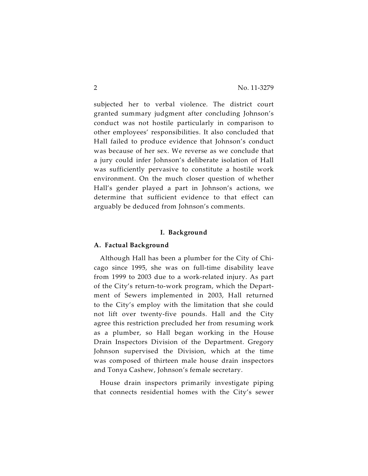subjected her to verbal violence. The district court granted summary judgment after concluding Johnson's conduct was not hostile particularly in comparison to other employees' responsibilities. It also concluded that Hall failed to produce evidence that Johnson's conduct was because of her sex. We reverse as we conclude that a jury could infer Johnson's deliberate isolation of Hall was sufficiently pervasive to constitute a hostile work environment. On the much closer question of whether Hall's gender played a part in Johnson's actions, we determine that sufficient evidence to that effect can arguably be deduced from Johnson's comments.

#### **I. Background**

## **A. Factual Background**

Although Hall has been a plumber for the City of Chicago since 1995, she was on full-time disability leave from 1999 to 2003 due to a work-related injury. As part of the City's return-to-work program, which the Department of Sewers implemented in 2003, Hall returned to the City's employ with the limitation that she could not lift over twenty-five pounds. Hall and the City agree this restriction precluded her from resuming work as a plumber, so Hall began working in the House Drain Inspectors Division of the Department. Gregory Johnson supervised the Division, which at the time was composed of thirteen male house drain inspectors and Tonya Cashew, Johnson's female secretary.

House drain inspectors primarily investigate piping that connects residential homes with the City's sewer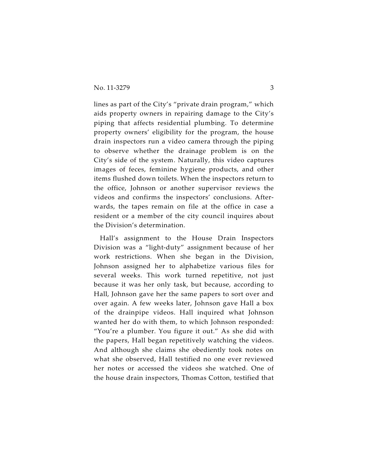lines as part of the City's "private drain program," which aids property owners in repairing damage to the City's piping that affects residential plumbing. To determine property owners' eligibility for the program, the house drain inspectors run a video camera through the piping to observe whether the drainage problem is on the City's side of the system. Naturally, this video captures images of feces, feminine hygiene products, and other items flushed down toilets. When the inspectors return to the office, Johnson or another supervisor reviews the videos and confirms the inspectors' conclusions. Afterwards, the tapes remain on file at the office in case a resident or a member of the city council inquires about the Division's determination.

Hall's assignment to the House Drain Inspectors Division was a "light-duty" assignment because of her work restrictions. When she began in the Division, Johnson assigned her to alphabetize various files for several weeks. This work turned repetitive, not just because it was her only task, but because, according to Hall, Johnson gave her the same papers to sort over and over again. A few weeks later, Johnson gave Hall a box of the drainpipe videos. Hall inquired what Johnson wanted her do with them, to which Johnson responded: "You're a plumber. You figure it out." As she did with the papers, Hall began repetitively watching the videos. And although she claims she obediently took notes on what she observed, Hall testified no one ever reviewed her notes or accessed the videos she watched. One of the house drain inspectors, Thomas Cotton, testified that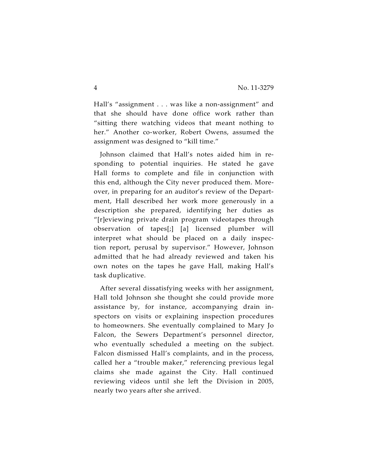Hall's "assignment . . . was like a non-assignment" and that she should have done office work rather than "sitting there watching videos that meant nothing to her." Another co-worker, Robert Owens, assumed the assignment was designed to "kill time."

Johnson claimed that Hall's notes aided him in responding to potential inquiries. He stated he gave Hall forms to complete and file in conjunction with this end, although the City never produced them. Moreover, in preparing for an auditor's review of the Department, Hall described her work more generously in a description she prepared, identifying her duties as "[r]eviewing private drain program videotapes through observation of tapes[;] [a] licensed plumber will interpret what should be placed on a daily inspection report, perusal by supervisor." However, Johnson admitted that he had already reviewed and taken his own notes on the tapes he gave Hall, making Hall's task duplicative.

After several dissatisfying weeks with her assignment, Hall told Johnson she thought she could provide more assistance by, for instance, accompanying drain inspectors on visits or explaining inspection procedures to homeowners. She eventually complained to Mary Jo Falcon, the Sewers Department's personnel director, who eventually scheduled a meeting on the subject. Falcon dismissed Hall's complaints, and in the process, called her a "trouble maker," referencing previous legal claims she made against the City. Hall continued reviewing videos until she left the Division in 2005, nearly two years after she arrived.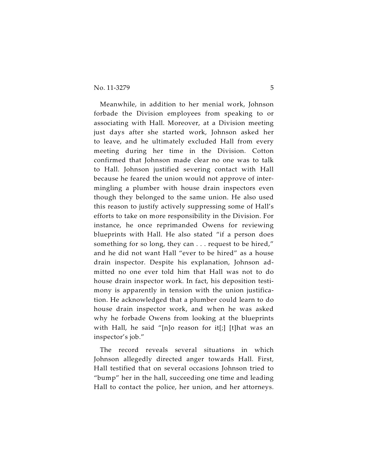Meanwhile, in addition to her menial work, Johnson forbade the Division employees from speaking to or associating with Hall. Moreover, at a Division meeting just days after she started work, Johnson asked her to leave, and he ultimately excluded Hall from every meeting during her time in the Division. Cotton confirmed that Johnson made clear no one was to talk to Hall. Johnson justified severing contact with Hall because he feared the union would not approve of intermingling a plumber with house drain inspectors even though they belonged to the same union. He also used this reason to justify actively suppressing some of Hall's efforts to take on more responsibility in the Division. For instance, he once reprimanded Owens for reviewing blueprints with Hall. He also stated "if a person does something for so long, they can . . . request to be hired," and he did not want Hall "ever to be hired" as a house drain inspector. Despite his explanation, Johnson admitted no one ever told him that Hall was not to do house drain inspector work. In fact, his deposition testimony is apparently in tension with the union justification. He acknowledged that a plumber could learn to do house drain inspector work, and when he was asked why he forbade Owens from looking at the blueprints with Hall, he said "[n]o reason for it[;] [t]hat was an inspector's job."

The record reveals several situations in which Johnson allegedly directed anger towards Hall. First, Hall testified that on several occasions Johnson tried to "bump" her in the hall, succeeding one time and leading Hall to contact the police, her union, and her attorneys.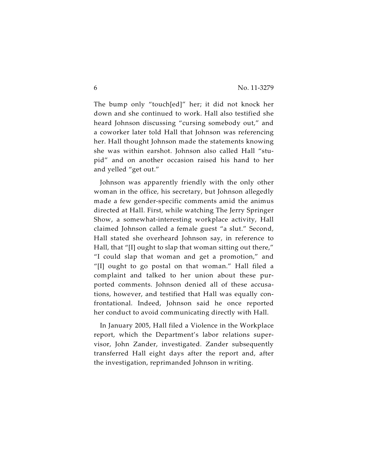The bump only "touch[ed]" her; it did not knock her down and she continued to work. Hall also testified she heard Johnson discussing "cursing somebody out," and a coworker later told Hall that Johnson was referencing her. Hall thought Johnson made the statements knowing she was within earshot. Johnson also called Hall "stupid" and on another occasion raised his hand to her and yelled "get out."

Johnson was apparently friendly with the only other woman in the office, his secretary, but Johnson allegedly made a few gender-specific comments amid the animus directed at Hall. First, while watching The Jerry Springer Show, a somewhat-interesting workplace activity, Hall claimed Johnson called a female guest "a slut." Second, Hall stated she overheard Johnson say, in reference to Hall, that "[I] ought to slap that woman sitting out there," "I could slap that woman and get a promotion," and "[I] ought to go postal on that woman." Hall filed a complaint and talked to her union about these purported comments. Johnson denied all of these accusations, however, and testified that Hall was equally confrontational. Indeed, Johnson said he once reported her conduct to avoid communicating directly with Hall.

In January 2005, Hall filed a Violence in the Workplace report, which the Department's labor relations supervisor, John Zander, investigated. Zander subsequently transferred Hall eight days after the report and, after the investigation, reprimanded Johnson in writing.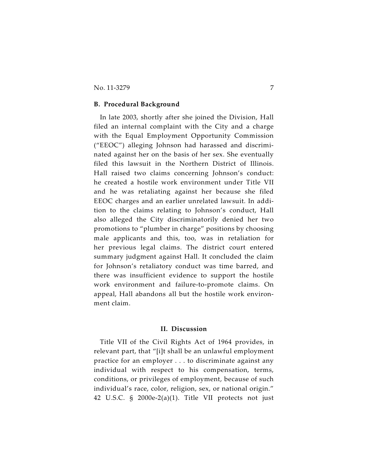#### **B. Procedural Background**

In late 2003, shortly after she joined the Division, Hall filed an internal complaint with the City and a charge with the Equal Employment Opportunity Commission ("EEOC") alleging Johnson had harassed and discriminated against her on the basis of her sex. She eventually filed this lawsuit in the Northern District of Illinois. Hall raised two claims concerning Johnson's conduct: he created a hostile work environment under Title VII and he was retaliating against her because she filed EEOC charges and an earlier unrelated lawsuit. In addition to the claims relating to Johnson's conduct, Hall also alleged the City discriminatorily denied her two promotions to "plumber in charge" positions by choosing male applicants and this, too, was in retaliation for her previous legal claims. The district court entered summary judgment against Hall. It concluded the claim for Johnson's retaliatory conduct was time barred, and there was insufficient evidence to support the hostile work environment and failure-to-promote claims. On appeal, Hall abandons all but the hostile work environment claim.

## **II. Discussion**

Title VII of the Civil Rights Act of 1964 provides, in relevant part, that "[i]t shall be an unlawful employment practice for an employer . . . to discriminate against any individual with respect to his compensation, terms, conditions, or privileges of employment, because of such individual's race, color, religion, sex, or national origin." 42 U.S.C. § 2000e-2(a)(1). Title VII protects not just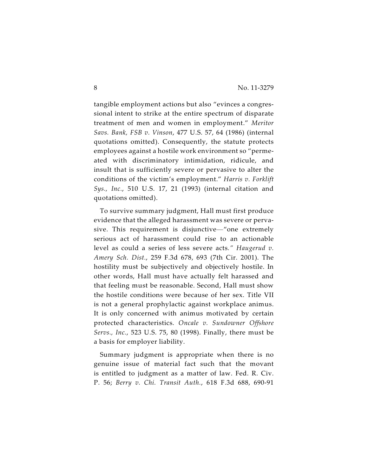tangible employment actions but also "evinces a congressional intent to strike at the entire spectrum of disparate treatment of men and women in employment." *Meritor Savs. Bank, FSB v. Vinson*, 477 U.S. 57, 64 (1986) (internal quotations omitted). Consequently, the statute protects employees against a hostile work environment so "permeated with discriminatory intimidation, ridicule, and insult that is sufficiently severe or pervasive to alter the conditions of the victim's employment." *Harris v. Forklift Sys., Inc.*, 510 U.S. 17, 21 (1993) (internal citation and quotations omitted).

To survive summary judgment, Hall must first produce evidence that the alleged harassment was severe or pervasive. This requirement is disjunctive—"one extremely serious act of harassment could rise to an actionable level as could a series of less severe acts*." Haugerud v. Amery Sch. Dist.*, 259 F.3d 678, 693 (7th Cir. 2001). The hostility must be subjectively and objectively hostile. In other words, Hall must have actually felt harassed and that feeling must be reasonable. Second, Hall must show the hostile conditions were because of her sex. Title VII is not a general prophylactic against workplace animus. It is only concerned with animus motivated by certain protected characteristics. *Oncale v. Sundowner Offshore Servs., Inc.*, 523 U.S. 75, 80 (1998). Finally, there must be a basis for employer liability.

Summary judgment is appropriate when there is no genuine issue of material fact such that the movant is entitled to judgment as a matter of law. Fed. R. Civ. P. 56; *Berry v. Chi. Transit Auth.*, 618 F.3d 688, 690-91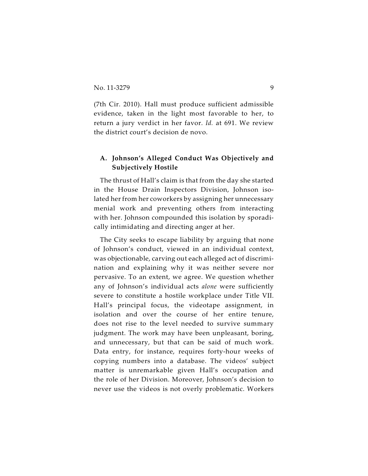(7th Cir. 2010). Hall must produce sufficient admissible evidence, taken in the light most favorable to her, to return a jury verdict in her favor. *Id.* at 691. We review the district court's decision de novo.

## **A. Johnson's Alleged Conduct Was Objectively and Subjectively Hostile**

The thrust of Hall's claim is that from the day she started in the House Drain Inspectors Division, Johnson isolated her from her coworkers by assigning her unnecessary menial work and preventing others from interacting with her. Johnson compounded this isolation by sporadically intimidating and directing anger at her.

The City seeks to escape liability by arguing that none of Johnson's conduct, viewed in an individual context, was objectionable, carving out each alleged act of discrimination and explaining why it was neither severe nor pervasive. To an extent, we agree. We question whether any of Johnson's individual acts *alone* were sufficiently severe to constitute a hostile workplace under Title VII. Hall's principal focus, the videotape assignment, in isolation and over the course of her entire tenure, does not rise to the level needed to survive summary judgment. The work may have been unpleasant, boring, and unnecessary, but that can be said of much work. Data entry, for instance, requires forty-hour weeks of copying numbers into a database. The videos' subject matter is unremarkable given Hall's occupation and the role of her Division. Moreover, Johnson's decision to never use the videos is not overly problematic. Workers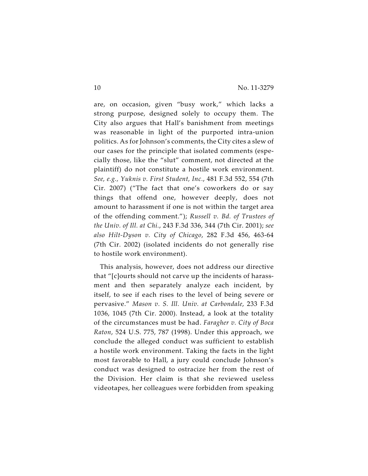are, on occasion, given "busy work," which lacks a strong purpose, designed solely to occupy them. The City also argues that Hall's banishment from meetings was reasonable in light of the purported intra-union politics. As for Johnson's comments, the City cites a slew of our cases for the principle that isolated comments (especially those, like the "slut" comment, not directed at the plaintiff) do not constitute a hostile work environment. *See, e.g., Yuknis v. First Student, Inc.*, 481 F.3d 552, 554 (7th Cir. 2007) ("The fact that one's coworkers do or say things that offend one, however deeply, does not amount to harassment if one is not within the target area of the offending comment."); *Russell v. Bd. of Trustees of the Univ. of Ill. at Chi.*, 243 F.3d 336, 344 (7th Cir. 2001); *see also Hilt-Dyson v. City of Chicago*, 282 F.3d 456, 463-64 (7th Cir. 2002) (isolated incidents do not generally rise to hostile work environment).

This analysis, however, does not address our directive that "[c]ourts should not carve up the incidents of harassment and then separately analyze each incident, by itself, to see if each rises to the level of being severe or pervasive." *Mason v. S. Ill. Univ. at Carbondale*, 233 F.3d 1036, 1045 (7th Cir. 2000). Instead, a look at the totality of the circumstances must be had. *Faragher v. City of Boca Raton*, 524 U.S. 775, 787 (1998). Under this approach, we conclude the alleged conduct was sufficient to establish a hostile work environment. Taking the facts in the light most favorable to Hall, a jury could conclude Johnson's conduct was designed to ostracize her from the rest of the Division. Her claim is that she reviewed useless videotapes, her colleagues were forbidden from speaking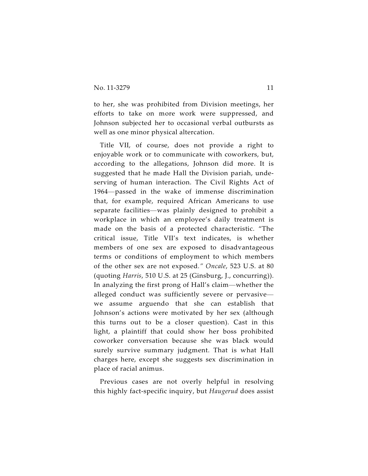to her, she was prohibited from Division meetings, her efforts to take on more work were suppressed, and Johnson subjected her to occasional verbal outbursts as well as one minor physical altercation.

Title VII, of course, does not provide a right to enjoyable work or to communicate with coworkers, but, according to the allegations, Johnson did more. It is suggested that he made Hall the Division pariah, undeserving of human interaction. The Civil Rights Act of 1964—passed in the wake of immense discrimination that, for example, required African Americans to use separate facilities—was plainly designed to prohibit a workplace in which an employee's daily treatment is made on the basis of a protected characteristic. "The critical issue, Title VII's text indicates, is whether members of one sex are exposed to disadvantageous terms or conditions of employment to which members of the other sex are not exposed*." Oncale*, 523 U.S. at 80 (quoting *Harris*, 510 U.S. at 25 (Ginsburg, J., concurring)). In analyzing the first prong of Hall's claim—whether the alleged conduct was sufficiently severe or pervasive we assume arguendo that she can establish that Johnson's actions were motivated by her sex (although this turns out to be a closer question). Cast in this light, a plaintiff that could show her boss prohibited coworker conversation because she was black would surely survive summary judgment. That is what Hall charges here, except she suggests sex discrimination in place of racial animus.

Previous cases are not overly helpful in resolving this highly fact-specific inquiry, but *Haugerud* does assist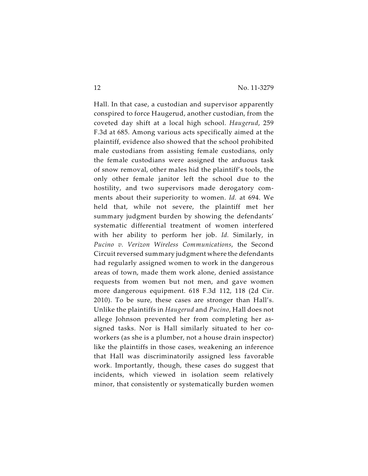Hall. In that case, a custodian and supervisor apparently conspired to force Haugerud, another custodian, from the coveted day shift at a local high school. *Haugerud*, 259 F.3d at 685. Among various acts specifically aimed at the plaintiff, evidence also showed that the school prohibited male custodians from assisting female custodians, only the female custodians were assigned the arduous task of snow removal, other males hid the plaintiff's tools, the only other female janitor left the school due to the hostility, and two supervisors made derogatory comments about their superiority to women. *Id.* at 694. We held that, while not severe, the plaintiff met her summary judgment burden by showing the defendants' systematic differential treatment of women interfered with her ability to perform her job. *Id.* Similarly, in *Pucino v. Verizon Wireless Communications*, the Second Circuit reversed summary judgment where the defendants had regularly assigned women to work in the dangerous areas of town, made them work alone, denied assistance requests from women but not men, and gave women more dangerous equipment. 618 F.3d 112, 118 (2d Cir. 2010). To be sure, these cases are stronger than Hall's. Unlike the plaintiffs in *Haugerud* and *Pucino*, Hall does not allege Johnson prevented her from completing her assigned tasks. Nor is Hall similarly situated to her coworkers (as she is a plumber, not a house drain inspector) like the plaintiffs in those cases, weakening an inference that Hall was discriminatorily assigned less favorable work. Importantly, though, these cases do suggest that incidents, which viewed in isolation seem relatively minor, that consistently or systematically burden women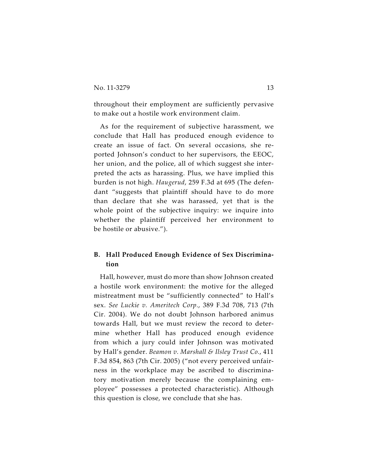throughout their employment are sufficiently pervasive to make out a hostile work environment claim.

As for the requirement of subjective harassment, we conclude that Hall has produced enough evidence to create an issue of fact. On several occasions, she reported Johnson's conduct to her supervisors, the EEOC, her union, and the police, all of which suggest she interpreted the acts as harassing. Plus, we have implied this burden is not high. *Haugerud*, 259 F.3d at 695 (The defendant "suggests that plaintiff should have to do more than declare that she was harassed, yet that is the whole point of the subjective inquiry: we inquire into whether the plaintiff perceived her environment to be hostile or abusive.").

## **B. Hall Produced Enough Evidence of Sex Discrimination**

Hall, however, must do more than show Johnson created a hostile work environment: the motive for the alleged mistreatment must be "sufficiently connected" to Hall's sex. *See Luckie v. Ameritech Corp.*, 389 F.3d 708, 713 (7th Cir. 2004). We do not doubt Johnson harbored animus towards Hall, but we must review the record to determine whether Hall has produced enough evidence from which a jury could infer Johnson was motivated by Hall's gender. *Beamon v. Marshall & Ilsley Trust Co.*, 411 F.3d 854, 863 (7th Cir. 2005) ("not every perceived unfairness in the workplace may be ascribed to discriminatory motivation merely because the complaining employee" possesses a protected characteristic). Although this question is close, we conclude that she has.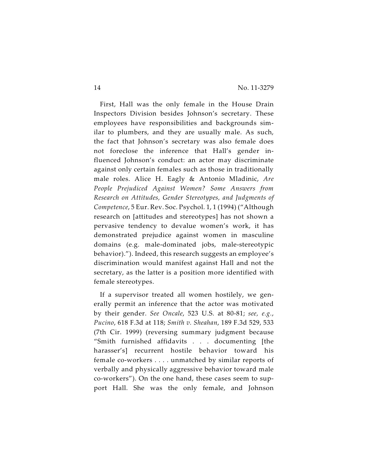First, Hall was the only female in the House Drain Inspectors Division besides Johnson's secretary. These employees have responsibilities and backgrounds similar to plumbers, and they are usually male. As such, the fact that Johnson's secretary was also female does not foreclose the inference that Hall's gender influenced Johnson's conduct: an actor may discriminate against only certain females such as those in traditionally male roles. Alice H. Eagly & Antonio Mladinic, *Are People Prejudiced Against Women? Some Answers from Research on Attitudes, Gender Stereotypes, and Judgments of Competence*, 5 Eur. Rev. Soc. Psychol. 1, 1 (1994) ("Although research on [attitudes and stereotypes] has not shown a pervasive tendency to devalue women's work, it has demonstrated prejudice against women in masculine domains (e.g. male-dominated jobs, male-stereotypic behavior)."). Indeed, this research suggests an employee's discrimination would manifest against Hall and not the secretary, as the latter is a position more identified with female stereotypes.

If a supervisor treated all women hostilely, we generally permit an inference that the actor was motivated by their gender. *See Oncale*, 523 U.S. at 80-81; *see, e.g.*, *Pucino*, 618 F.3d at 118; *Smith v. Sheahan*, 189 F.3d 529, 533 (7th Cir. 1999) (reversing summary judgment because "Smith furnished affidavits . . . documenting [the harasser's] recurrent hostile behavior toward his female co-workers . . . . unmatched by similar reports of verbally and physically aggressive behavior toward male co-workers"). On the one hand, these cases seem to support Hall. She was the only female, and Johnson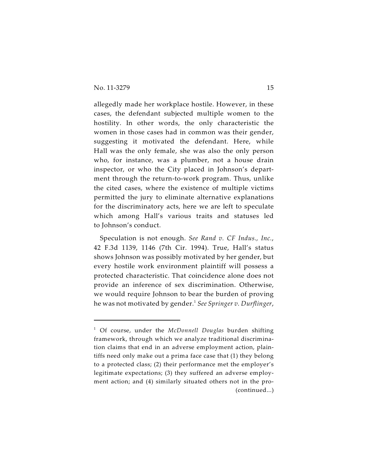allegedly made her workplace hostile. However, in these cases, the defendant subjected multiple women to the hostility. In other words, the only characteristic the women in those cases had in common was their gender, suggesting it motivated the defendant. Here, while Hall was the only female, she was also the only person who, for instance, was a plumber, not a house drain inspector, or who the City placed in Johnson's department through the return-to-work program. Thus, unlike the cited cases, where the existence of multiple victims permitted the jury to eliminate alternative explanations for the discriminatory acts, here we are left to speculate which among Hall's various traits and statuses led to Johnson's conduct.

Speculation is not enough. *See Rand v. CF Indus., Inc.*, 42 F.3d 1139, 1146 (7th Cir. 1994). True, Hall's status shows Johnson was possibly motivated by her gender, but every hostile work environment plaintiff will possess a protected characteristic. That coincidence alone does not provide an inference of sex discrimination. Otherwise, we would require Johnson to bear the burden of proving he was not motivated by gender. *See Springer v. Durflinger*, 1

<sup>&</sup>lt;sup>1</sup> Of course, under the *McDonnell Douglas* burden shifting framework, through which we analyze traditional discrimination claims that end in an adverse employment action, plaintiffs need only make out a prima face case that (1) they belong to a protected class; (2) their performance met the employer's legitimate expectations; (3) they suffered an adverse employment action; and (4) similarly situated others not in the pro- (continued...)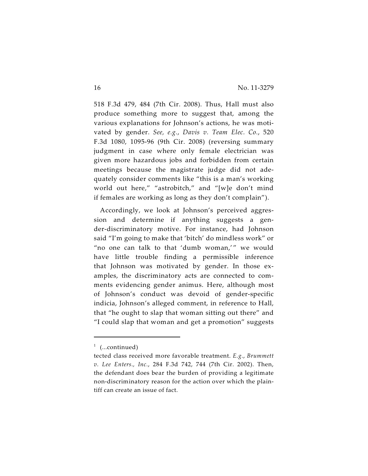518 F.3d 479, 484 (7th Cir. 2008). Thus, Hall must also produce something more to suggest that, among the various explanations for Johnson's actions, he was motivated by gender. *See, e.g.*, *Davis v. Team Elec. Co.*, 520 F.3d 1080, 1095-96 (9th Cir. 2008) (reversing summary judgment in case where only female electrician was given more hazardous jobs and forbidden from certain meetings because the magistrate judge did not adequately consider comments like "this is a man's working world out here," "astrobitch," and "[w]e don't mind if females are working as long as they don't complain").

Accordingly, we look at Johnson's perceived aggression and determine if anything suggests a gender-discriminatory motive. For instance, had Johnson said "I'm going to make that 'bitch' do mindless work" or "no one can talk to that 'dumb woman,'" we would have little trouble finding a permissible inference that Johnson was motivated by gender. In those examples, the discriminatory acts are connected to comments evidencing gender animus. Here, although most of Johnson's conduct was devoid of gender-specific indicia, Johnson's alleged comment, in reference to Hall, that "he ought to slap that woman sitting out there" and "I could slap that woman and get a promotion" suggests

 $1$  (...continued)

tected class received more favorable treatment. *E.g.*, *Brummett v. Lee Enters., Inc.*, 284 F.3d 742, 744 (7th Cir. 2002). Then, the defendant does bear the burden of providing a legitimate non-discriminatory reason for the action over which the plaintiff can create an issue of fact.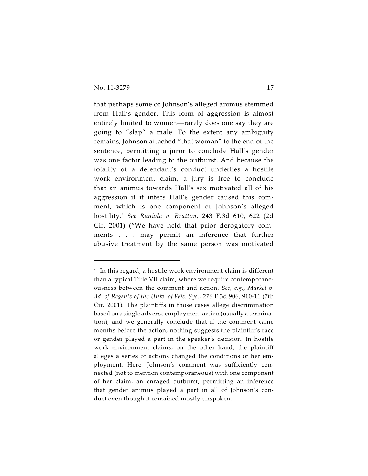that perhaps some of Johnson's alleged animus stemmed from Hall's gender. This form of aggression is almost entirely limited to women—rarely does one say they are going to "slap" a male. To the extent any ambiguity remains, Johnson attached "that woman" to the end of the sentence, permitting a juror to conclude Hall's gender was one factor leading to the outburst. And because the totality of a defendant's conduct underlies a hostile work environment claim, a jury is free to conclude that an animus towards Hall's sex motivated all of his aggression if it infers Hall's gender caused this comment, which is one component of Johnson's alleged hostility.<sup>2</sup> See Raniola v. Bratton, 243 F.3d 610, 622 (2d Cir. 2001) ("We have held that prior derogatory comments . . . may permit an inference that further abusive treatment by the same person was motivated

 $^{\text{2}}\,$  In this regard, a hostile work environment claim is different than a typical Title VII claim, where we require contemporaneousness between the comment and action. *See, e.g.*, *Markel v. Bd. of Regents of the Univ. of Wis. Sys.*, 276 F.3d 906, 910-11 (7th Cir. 2001). The plaintiffs in those cases allege discrimination based on a single adverse employment action (usually a termination), and we generally conclude that if the comment came months before the action, nothing suggests the plaintiff's race or gender played a part in the speaker's decision. In hostile work environment claims, on the other hand, the plaintiff alleges a series of actions changed the conditions of her employment. Here, Johnson's comment was sufficiently connected (not to mention contemporaneous) with one component of her claim, an enraged outburst, permitting an inference that gender animus played a part in all of Johnson's conduct even though it remained mostly unspoken.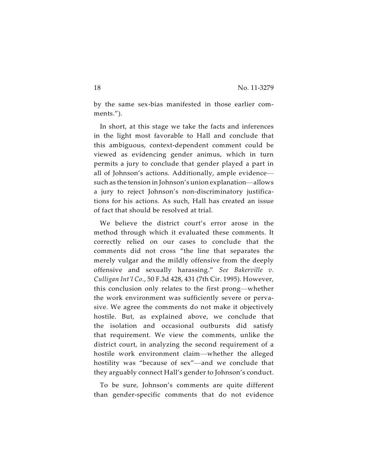by the same sex-bias manifested in those earlier comments.").

In short, at this stage we take the facts and inferences in the light most favorable to Hall and conclude that this ambiguous, context-dependent comment could be viewed as evidencing gender animus, which in turn permits a jury to conclude that gender played a part in all of Johnson's actions. Additionally, ample evidence such as the tension in Johnson's union explanation—allows a jury to reject Johnson's non-discriminatory justifications for his actions. As such, Hall has created an issue of fact that should be resolved at trial.

We believe the district court's error arose in the method through which it evaluated these comments. It correctly relied on our cases to conclude that the comments did not cross "the line that separates the merely vulgar and the mildly offensive from the deeply offensive and sexually harassing." *See Bakerville v. Culligan Int'l Co.*, 50 F.3d 428, 431 (7th Cir. 1995). However, this conclusion only relates to the first prong—whether the work environment was sufficiently severe or pervasive. We agree the comments do not make it objectively hostile. But, as explained above, we conclude that the isolation and occasional outbursts did satisfy that requirement. We view the comments, unlike the district court, in analyzing the second requirement of a hostile work environment claim—whether the alleged hostility was "because of sex"—and we conclude that they arguably connect Hall's gender to Johnson's conduct.

To be sure, Johnson's comments are quite different than gender-specific comments that do not evidence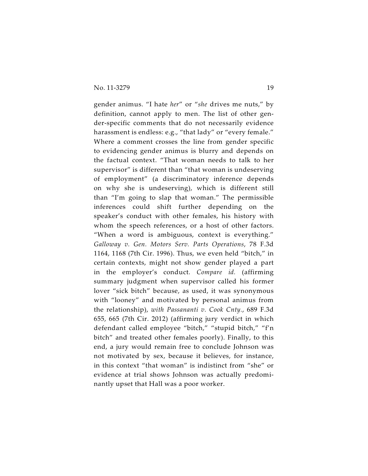gender animus. "I hate *her*" or "*she* drives me nuts," by definition, cannot apply to men. The list of other gender-specific comments that do not necessarily evidence harassment is endless: e.g., "that lady" or "every female." Where a comment crosses the line from gender specific to evidencing gender animus is blurry and depends on the factual context. "That woman needs to talk to her supervisor" is different than "that woman is undeserving of employment" (a discriminatory inference depends on why she is undeserving), which is different still than "I'm going to slap that woman." The permissible inferences could shift further depending on the speaker's conduct with other females, his history with whom the speech references, or a host of other factors. "When a word is ambiguous, context is everything." *Galloway v. Gen. Motors Serv. Parts Operations*, 78 F.3d 1164, 1168 (7th Cir. 1996). Thus, we even held "bitch," in certain contexts, might not show gender played a part in the employer's conduct. *Compare id.* (affirming summary judgment when supervisor called his former lover "sick bitch" because, as used, it was synonymous with "looney" and motivated by personal animus from the relationship), *with Passananti v. Cook Cnty.*, 689 F.3d 655, 665 (7th Cir. 2012) (affirming jury verdict in which defendant called employee "bitch," "stupid bitch," "f'n bitch" and treated other females poorly). Finally, to this end, a jury would remain free to conclude Johnson was not motivated by sex, because it believes, for instance, in this context "that woman" is indistinct from "she" or evidence at trial shows Johnson was actually predominantly upset that Hall was a poor worker.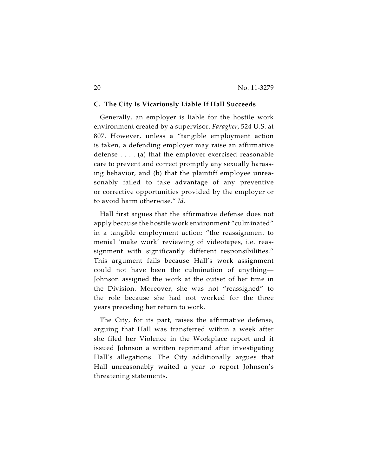## **C. The City Is Vicariously Liable If Hall Succeeds**

Generally, an employer is liable for the hostile work environment created by a supervisor. *Faragher*, 524 U.S. at 807. However, unless a "tangible employment action is taken, a defending employer may raise an affirmative defense . . . . (a) that the employer exercised reasonable care to prevent and correct promptly any sexually harassing behavior, and (b) that the plaintiff employee unreasonably failed to take advantage of any preventive or corrective opportunities provided by the employer or to avoid harm otherwise." *Id.*

Hall first argues that the affirmative defense does not apply because the hostile work environment "culminated" in a tangible employment action: "the reassignment to menial 'make work' reviewing of videotapes, i.e. reassignment with significantly different responsibilities." This argument fails because Hall's work assignment could not have been the culmination of anything— Johnson assigned the work at the outset of her time in the Division. Moreover, she was not "reassigned" to the role because she had not worked for the three years preceding her return to work.

The City, for its part, raises the affirmative defense, arguing that Hall was transferred within a week after she filed her Violence in the Workplace report and it issued Johnson a written reprimand after investigating Hall's allegations. The City additionally argues that Hall unreasonably waited a year to report Johnson's threatening statements.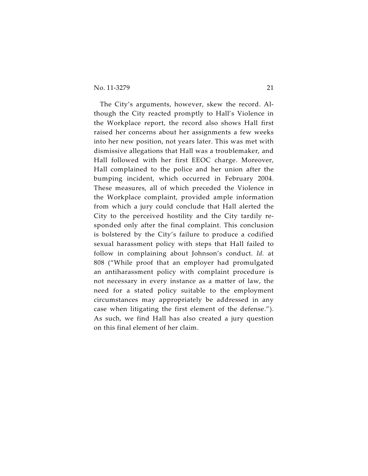## No. 11-3279 21

The City's arguments, however, skew the record. Although the City reacted promptly to Hall's Violence in the Workplace report, the record also shows Hall first raised her concerns about her assignments a few weeks into her new position, not years later. This was met with dismissive allegations that Hall was a troublemaker, and Hall followed with her first EEOC charge. Moreover, Hall complained to the police and her union after the bumping incident, which occurred in February 2004. These measures, all of which preceded the Violence in the Workplace complaint, provided ample information from which a jury could conclude that Hall alerted the City to the perceived hostility and the City tardily responded only after the final complaint. This conclusion is bolstered by the City's failure to produce a codified sexual harassment policy with steps that Hall failed to follow in complaining about Johnson's conduct. *Id.* at 808 ("While proof that an employer had promulgated an antiharassment policy with complaint procedure is not necessary in every instance as a matter of law, the need for a stated policy suitable to the employment circumstances may appropriately be addressed in any case when litigating the first element of the defense."). As such, we find Hall has also created a jury question on this final element of her claim.